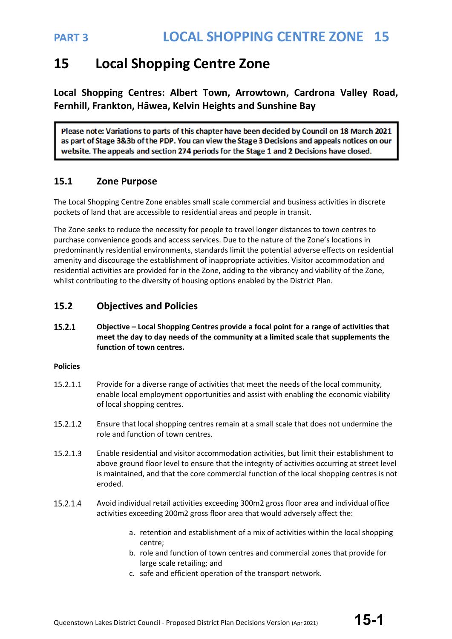## **15 Local Shopping Centre Zone**

**Local Shopping Centres: Albert Town, Arrowtown, Cardrona Valley Road, Fernhill, Frankton, Hāwea, Kelvin Heights and Sunshine Bay**

Please note: Variations to parts of this chapter have been decided by Council on 18 March 2021 as part of Stage 3&3b of the PDP. You can view the Stage 3 Decisions and appeals notices on our website. The appeals and section 274 periods for the Stage 1 and 2 Decisions have closed.

### **15.1 Zone Purpose**

The Local Shopping Centre Zone enables small scale commercial and business activities in discrete pockets of land that are accessible to residential areas and people in transit.

The Zone seeks to reduce the necessity for people to travel longer distances to town centres to purchase convenience goods and access services. Due to the nature of the Zone's locations in predominantly residential environments, standards limit the potential adverse effects on residential amenity and discourage the establishment of inappropriate activities. Visitor accommodation and residential activities are provided for in the Zone, adding to the vibrancy and viability of the Zone, whilst contributing to the diversity of housing options enabled by the District Plan.

### **15.2 Objectives and Policies**

 $15.2.1$ **Objective – Local Shopping Centres provide a focal point for a range of activities that meet the day to day needs of the community at a limited scale that supplements the function of town centres.**

#### **Policies**

- 15.2.1.1 Provide for a diverse range of activities that meet the needs of the local community, enable local employment opportunities and assist with enabling the economic viability of local shopping centres.
- 15.2.1.2 Ensure that local shopping centres remain at a small scale that does not undermine the role and function of town centres.
- 15.2.1.3 Enable residential and visitor accommodation activities, but limit their establishment to above ground floor level to ensure that the integrity of activities occurring at street level is maintained, and that the core commercial function of the local shopping centres is not eroded.
- 15.2.1.4 Avoid individual retail activities exceeding 300m2 gross floor area and individual office activities exceeding 200m2 gross floor area that would adversely affect the:
	- a. retention and establishment of a mix of activities within the local shopping centre;
	- b. role and function of town centres and commercial zones that provide for large scale retailing; and
	- c. safe and efficient operation of the transport network.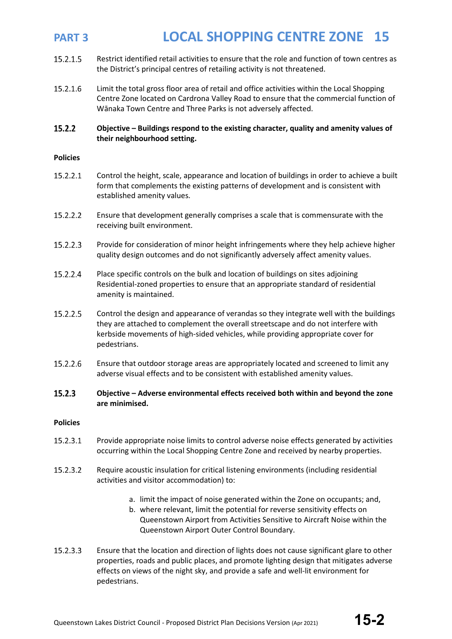- 15.2.1.5 Restrict identified retail activities to ensure that the role and function of town centres as the District's principal centres of retailing activity is not threatened.
- 15.2.1.6 Limit the total gross floor area of retail and office activities within the Local Shopping Centre Zone located on Cardrona Valley Road to ensure that the commercial function of Wānaka Town Centre and Three Parks is not adversely affected.

#### 15.2.2 **Objective – Buildings respond to the existing character, quality and amenity values of their neighbourhood setting.**

#### **Policies**

- 15.2.2.1 Control the height, scale, appearance and location of buildings in order to achieve a built form that complements the existing patterns of development and is consistent with established amenity values.
- 15.2.2.2 Ensure that development generally comprises a scale that is commensurate with the receiving built environment.
- 15.2.2.3 Provide for consideration of minor height infringements where they help achieve higher quality design outcomes and do not significantly adversely affect amenity values.
- 15.2.2.4 Place specific controls on the bulk and location of buildings on sites adjoining Residential-zoned properties to ensure that an appropriate standard of residential amenity is maintained.
- 15.2.2.5 Control the design and appearance of verandas so they integrate well with the buildings they are attached to complement the overall streetscape and do not interfere with kerbside movements of high-sided vehicles, while providing appropriate cover for pedestrians.
- 15.2.2.6 Ensure that outdoor storage areas are appropriately located and screened to limit any adverse visual effects and to be consistent with established amenity values.

#### $15.2.3$ **Objective – Adverse environmental effects received both within and beyond the zone are minimised.**

#### **Policies**

- 15.2.3.1 Provide appropriate noise limits to control adverse noise effects generated by activities occurring within the Local Shopping Centre Zone and received by nearby properties.
- 15.2.3.2 Require acoustic insulation for critical listening environments (including residential activities and visitor accommodation) to:
	- a. limit the impact of noise generated within the Zone on occupants; and,
	- b. where relevant, limit the potential for reverse sensitivity effects on Queenstown Airport from Activities Sensitive to Aircraft Noise within the Queenstown Airport Outer Control Boundary.
- 15.2.3.3 Ensure that the location and direction of lights does not cause significant glare to other properties, roads and public places, and promote lighting design that mitigates adverse effects on views of the night sky, and provide a safe and well-lit environment for pedestrians.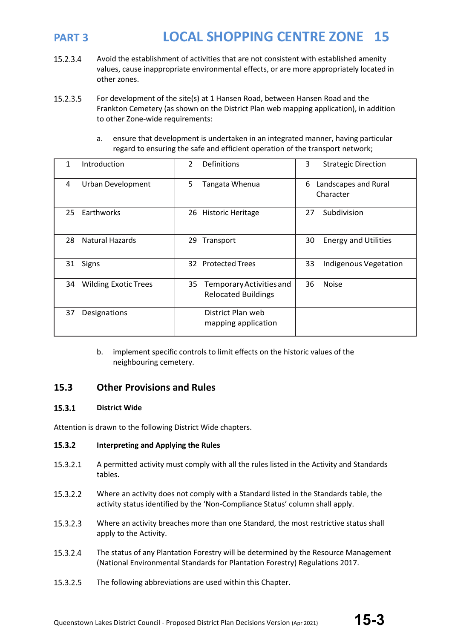- 15.2.3.4 Avoid the establishment of activities that are not consistent with established amenity values, cause inappropriate environmental effects, or are more appropriately located in other zones.
- 15.2.3.5 For development of the site(s) at 1 Hansen Road, between Hansen Road and the Frankton Cemetery (as shown on the District Plan web mapping application), in addition to other Zone-wide requirements:
	- a. ensure that development is undertaken in an integrated manner, having particular regard to ensuring the safe and efficient operation of the transport network;

| Introduction                      | $\mathcal{P}$<br>Definitions                                 | 3<br><b>Strategic Direction</b>        |
|-----------------------------------|--------------------------------------------------------------|----------------------------------------|
| <b>Urban Development</b><br>4     | 5<br>Tangata Whenua                                          | Landscapes and Rural<br>6<br>Character |
| Earthworks<br>25                  | 26 Historic Heritage                                         | Subdivision<br>27                      |
| <b>Natural Hazards</b><br>28      | Transport<br>29                                              | <b>Energy and Utilities</b><br>30      |
| Signs<br>31                       | <b>Protected Trees</b><br>32                                 | 33<br><b>Indigenous Vegetation</b>     |
| <b>Wilding Exotic Trees</b><br>34 | 35<br>Temporary Activities and<br><b>Relocated Buildings</b> | 36<br><b>Noise</b>                     |
| 37<br>Designations                | District Plan web<br>mapping application                     |                                        |

b. implement specific controls to limit effects on the historic values of the neighbouring cemetery.

### **15.3 Other Provisions and Rules**

#### 15.3.1 **District Wide**

Attention is drawn to the following District Wide chapters.

#### $15.3.2$ **Interpreting and Applying the Rules**

- 15.3.2.1 A permitted activity must comply with all the rules listed in the Activity and Standards tables.
- 15.3.2.2 Where an activity does not comply with a Standard listed in the Standards table, the activity status identified by the 'Non-Compliance Status' column shall apply.
- 15.3.2.3 Where an activity breaches more than one Standard, the most restrictive status shall apply to the Activity.
- 15.3.2.4 The status of any Plantation Forestry will be determined by the Resource Management (National Environmental Standards for Plantation Forestry) Regulations 2017.
- 15.3.2.5 The following abbreviations are used within this Chapter.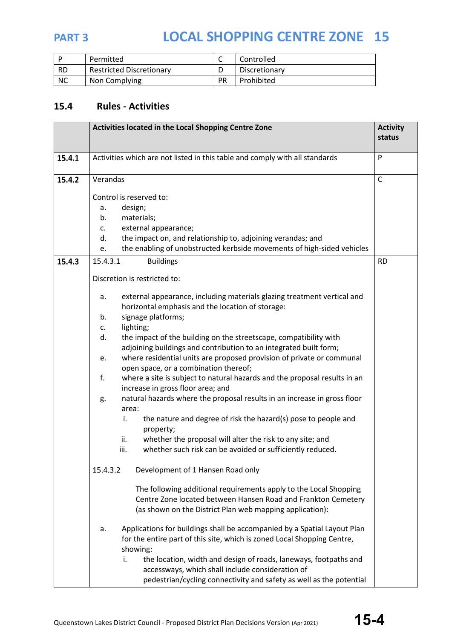

|           | Permitted                       |           | Controlled    |
|-----------|---------------------------------|-----------|---------------|
| <b>RD</b> | <b>Restricted Discretionary</b> |           | Discretionary |
| <b>NC</b> | Non Complying                   | <b>PR</b> | Prohibited    |

## **15.4 Rules - Activities**

|        | Activities located in the Local Shopping Centre Zone                                                                                                                                                                                            | <b>Activity</b><br>status |
|--------|-------------------------------------------------------------------------------------------------------------------------------------------------------------------------------------------------------------------------------------------------|---------------------------|
| 15.4.1 | Activities which are not listed in this table and comply with all standards                                                                                                                                                                     | P                         |
| 15.4.2 | Verandas                                                                                                                                                                                                                                        | $\mathsf{C}$              |
|        | Control is reserved to:<br>design;<br>a.<br>materials;<br>b.<br>external appearance;<br>$C_{\star}$<br>the impact on, and relationship to, adjoining verandas; and<br>d.                                                                        |                           |
| 15.4.3 | the enabling of unobstructed kerbside movements of high-sided vehicles<br>e.<br>15.4.3.1<br><b>Buildings</b>                                                                                                                                    | <b>RD</b>                 |
|        | Discretion is restricted to:                                                                                                                                                                                                                    |                           |
|        | external appearance, including materials glazing treatment vertical and<br>a.<br>horizontal emphasis and the location of storage:<br>signage platforms;<br>b.                                                                                   |                           |
|        | lighting;<br>c.                                                                                                                                                                                                                                 |                           |
|        | the impact of the building on the streetscape, compatibility with<br>d.                                                                                                                                                                         |                           |
|        | adjoining buildings and contribution to an integrated built form;<br>where residential units are proposed provision of private or communal<br>e.                                                                                                |                           |
|        | open space, or a combination thereof;<br>f.<br>where a site is subject to natural hazards and the proposal results in an<br>increase in gross floor area; and                                                                                   |                           |
|        | natural hazards where the proposal results in an increase in gross floor<br>g.<br>area:                                                                                                                                                         |                           |
|        | the nature and degree of risk the hazard(s) pose to people and<br>i.<br>property;                                                                                                                                                               |                           |
|        | whether the proposal will alter the risk to any site; and<br>ii.<br>whether such risk can be avoided or sufficiently reduced.<br>iii.                                                                                                           |                           |
|        | 15.4.3.2<br>Development of 1 Hansen Road only                                                                                                                                                                                                   |                           |
|        | The following additional requirements apply to the Local Shopping<br>Centre Zone located between Hansen Road and Frankton Cemetery<br>(as shown on the District Plan web mapping application):                                                  |                           |
|        | Applications for buildings shall be accompanied by a Spatial Layout Plan<br>a.<br>for the entire part of this site, which is zoned Local Shopping Centre,<br>showing:<br>the location, width and design of roads, laneways, footpaths and<br>İ. |                           |
|        | accessways, which shall include consideration of<br>pedestrian/cycling connectivity and safety as well as the potential                                                                                                                         |                           |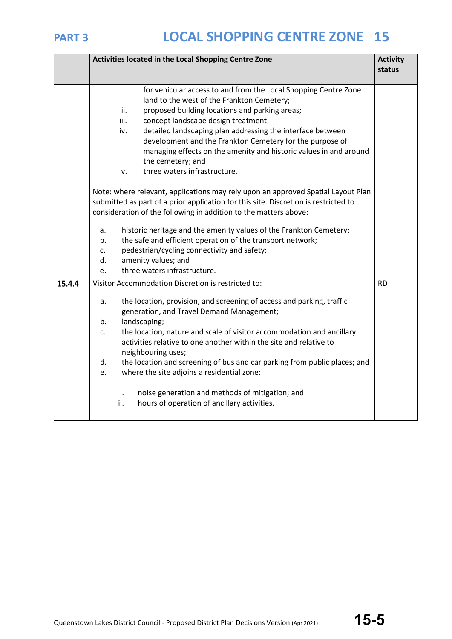|        | Activities located in the Local Shopping Centre Zone                     |                                                                                                                                                                         | <b>Activity</b> |
|--------|--------------------------------------------------------------------------|-------------------------------------------------------------------------------------------------------------------------------------------------------------------------|-----------------|
|        |                                                                          |                                                                                                                                                                         | status          |
|        |                                                                          |                                                                                                                                                                         |                 |
|        |                                                                          | for vehicular access to and from the Local Shopping Centre Zone<br>land to the west of the Frankton Cemetery;                                                           |                 |
|        |                                                                          | proposed building locations and parking areas;<br>ii.                                                                                                                   |                 |
|        |                                                                          | iii.<br>concept landscape design treatment;                                                                                                                             |                 |
|        |                                                                          | detailed landscaping plan addressing the interface between<br>iv.                                                                                                       |                 |
|        |                                                                          | development and the Frankton Cemetery for the purpose of                                                                                                                |                 |
|        |                                                                          | managing effects on the amenity and historic values in and around                                                                                                       |                 |
|        |                                                                          | the cemetery; and                                                                                                                                                       |                 |
|        |                                                                          | three waters infrastructure.<br>v.                                                                                                                                      |                 |
|        |                                                                          | Note: where relevant, applications may rely upon an approved Spatial Layout Plan<br>submitted as part of a prior application for this site. Discretion is restricted to |                 |
|        |                                                                          | consideration of the following in addition to the matters above:                                                                                                        |                 |
|        | historic heritage and the amenity values of the Frankton Cemetery;<br>a. |                                                                                                                                                                         |                 |
|        | the safe and efficient operation of the transport network;<br>b.         |                                                                                                                                                                         |                 |
|        | $C_{\bullet}$                                                            | pedestrian/cycling connectivity and safety;                                                                                                                             |                 |
|        | d.                                                                       | amenity values; and                                                                                                                                                     |                 |
|        | e.                                                                       | three waters infrastructure.                                                                                                                                            |                 |
| 15.4.4 |                                                                          | Visitor Accommodation Discretion is restricted to:                                                                                                                      | <b>RD</b>       |
|        | a.                                                                       | the location, provision, and screening of access and parking, traffic<br>generation, and Travel Demand Management;                                                      |                 |
|        | b.                                                                       | landscaping;                                                                                                                                                            |                 |
|        | c.                                                                       | the location, nature and scale of visitor accommodation and ancillary                                                                                                   |                 |
|        |                                                                          | activities relative to one another within the site and relative to                                                                                                      |                 |
|        |                                                                          | neighbouring uses;                                                                                                                                                      |                 |
|        | d.                                                                       | the location and screening of bus and car parking from public places; and                                                                                               |                 |
|        | e.                                                                       | where the site adjoins a residential zone:                                                                                                                              |                 |
|        |                                                                          | noise generation and methods of mitigation; and<br>i.                                                                                                                   |                 |
|        |                                                                          | ii.<br>hours of operation of ancillary activities.                                                                                                                      |                 |
|        |                                                                          |                                                                                                                                                                         |                 |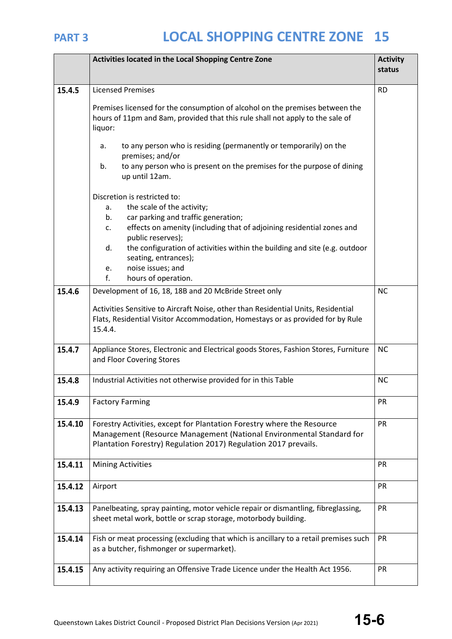|         | Activities located in the Local Shopping Centre Zone                                                                                                                                                                                                                                                                                                                                              | <b>Activity</b><br>status |
|---------|---------------------------------------------------------------------------------------------------------------------------------------------------------------------------------------------------------------------------------------------------------------------------------------------------------------------------------------------------------------------------------------------------|---------------------------|
| 15.4.5  | <b>Licensed Premises</b>                                                                                                                                                                                                                                                                                                                                                                          | <b>RD</b>                 |
|         | Premises licensed for the consumption of alcohol on the premises between the<br>hours of 11pm and 8am, provided that this rule shall not apply to the sale of<br>liquor:                                                                                                                                                                                                                          |                           |
|         | to any person who is residing (permanently or temporarily) on the<br>a.<br>premises; and/or<br>to any person who is present on the premises for the purpose of dining<br>b.<br>up until 12am.                                                                                                                                                                                                     |                           |
|         | Discretion is restricted to:<br>the scale of the activity;<br>a.<br>car parking and traffic generation;<br>b.<br>effects on amenity (including that of adjoining residential zones and<br>$\mathsf{C}$ .<br>public reserves);<br>the configuration of activities within the building and site (e.g. outdoor<br>d.<br>seating, entrances);<br>noise issues; and<br>e.<br>f.<br>hours of operation. |                           |
| 15.4.6  | Development of 16, 18, 18B and 20 McBride Street only<br>Activities Sensitive to Aircraft Noise, other than Residential Units, Residential<br>Flats, Residential Visitor Accommodation, Homestays or as provided for by Rule<br>15.4.4.                                                                                                                                                           | <b>NC</b>                 |
| 15.4.7  | Appliance Stores, Electronic and Electrical goods Stores, Fashion Stores, Furniture<br>and Floor Covering Stores                                                                                                                                                                                                                                                                                  | <b>NC</b>                 |
| 15.4.8  | Industrial Activities not otherwise provided for in this Table                                                                                                                                                                                                                                                                                                                                    | <b>NC</b>                 |
| 15.4.9  | <b>Factory Farming</b>                                                                                                                                                                                                                                                                                                                                                                            | <b>PR</b>                 |
| 15.4.10 | Forestry Activities, except for Plantation Forestry where the Resource<br>Management (Resource Management (National Environmental Standard for<br>Plantation Forestry) Regulation 2017) Regulation 2017 prevails.                                                                                                                                                                                 | <b>PR</b>                 |
| 15.4.11 | <b>Mining Activities</b>                                                                                                                                                                                                                                                                                                                                                                          | PR                        |
| 15.4.12 | Airport                                                                                                                                                                                                                                                                                                                                                                                           | PR                        |
| 15.4.13 | Panelbeating, spray painting, motor vehicle repair or dismantling, fibreglassing,<br>sheet metal work, bottle or scrap storage, motorbody building.                                                                                                                                                                                                                                               | <b>PR</b>                 |
| 15.4.14 | Fish or meat processing (excluding that which is ancillary to a retail premises such<br>as a butcher, fishmonger or supermarket).                                                                                                                                                                                                                                                                 | PR                        |
| 15.4.15 | Any activity requiring an Offensive Trade Licence under the Health Act 1956.                                                                                                                                                                                                                                                                                                                      | PR                        |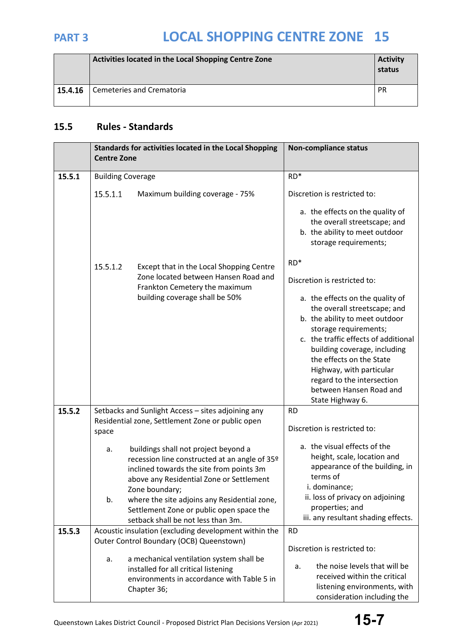|         | Activities located in the Local Shopping Centre Zone | <b>Activity</b><br>status |
|---------|------------------------------------------------------|---------------------------|
| 15.4.16 | Cemeteries and Crematoria                            | <b>PR</b>                 |

## **15.5 Rules - Standards**

|        | Standards for activities located in the Local Shopping<br><b>Centre Zone</b> |                                                                                                                                                                                                                                                             | <b>Non-compliance status</b>                                                                                                                                                                                                                                                                                                                                                      |
|--------|------------------------------------------------------------------------------|-------------------------------------------------------------------------------------------------------------------------------------------------------------------------------------------------------------------------------------------------------------|-----------------------------------------------------------------------------------------------------------------------------------------------------------------------------------------------------------------------------------------------------------------------------------------------------------------------------------------------------------------------------------|
| 15.5.1 | <b>Building Coverage</b>                                                     |                                                                                                                                                                                                                                                             | $RD*$                                                                                                                                                                                                                                                                                                                                                                             |
|        | 15.5.1.1                                                                     | Maximum building coverage - 75%                                                                                                                                                                                                                             | Discretion is restricted to:<br>a. the effects on the quality of<br>the overall streetscape; and<br>b. the ability to meet outdoor<br>storage requirements;                                                                                                                                                                                                                       |
|        | 15.5.1.2                                                                     | Except that in the Local Shopping Centre<br>Zone located between Hansen Road and<br>Frankton Cemetery the maximum<br>building coverage shall be 50%                                                                                                         | $RD*$<br>Discretion is restricted to:<br>a. the effects on the quality of<br>the overall streetscape; and<br>b. the ability to meet outdoor<br>storage requirements;<br>c. the traffic effects of additional<br>building coverage, including<br>the effects on the State<br>Highway, with particular<br>regard to the intersection<br>between Hansen Road and<br>State Highway 6. |
| 15.5.2 | space                                                                        | Setbacks and Sunlight Access - sites adjoining any<br>Residential zone, Settlement Zone or public open                                                                                                                                                      | <b>RD</b><br>Discretion is restricted to:                                                                                                                                                                                                                                                                                                                                         |
|        | a.<br>b.                                                                     | buildings shall not project beyond a<br>recession line constructed at an angle of 35 <sup>o</sup><br>inclined towards the site from points 3m<br>above any Residential Zone or Settlement<br>Zone boundary;<br>where the site adjoins any Residential zone, | a. the visual effects of the<br>height, scale, location and<br>appearance of the building, in<br>terms of<br>i. dominance;<br>ii. loss of privacy on adjoining                                                                                                                                                                                                                    |
|        |                                                                              | Settlement Zone or public open space the<br>setback shall be not less than 3m.                                                                                                                                                                              | properties; and<br>iii. any resultant shading effects.                                                                                                                                                                                                                                                                                                                            |
| 15.5.3 |                                                                              | Acoustic insulation (excluding development within the                                                                                                                                                                                                       | <b>RD</b>                                                                                                                                                                                                                                                                                                                                                                         |
|        |                                                                              | Outer Control Boundary (OCB) Queenstown)                                                                                                                                                                                                                    | Discretion is restricted to:                                                                                                                                                                                                                                                                                                                                                      |
|        | a.                                                                           | a mechanical ventilation system shall be<br>installed for all critical listening<br>environments in accordance with Table 5 in<br>Chapter 36;                                                                                                               | the noise levels that will be<br>a.<br>received within the critical<br>listening environments, with<br>consideration including the                                                                                                                                                                                                                                                |

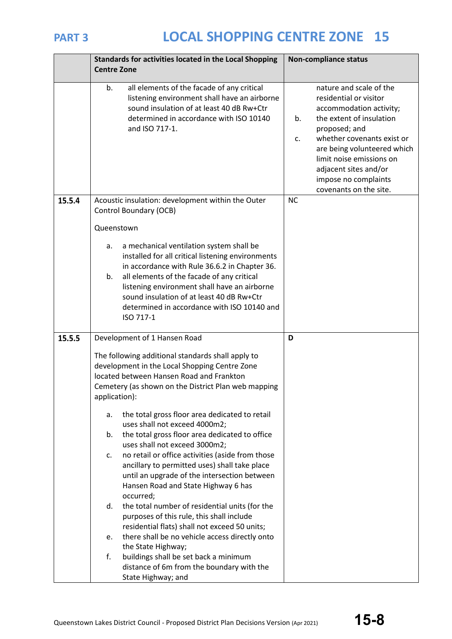

|        | <b>Centre Zone</b> | Standards for activities located in the Local Shopping                                                                                                                                                                                                                                                                                                | <b>Non-compliance status</b>                                                                                                                                                                                                                                                                              |
|--------|--------------------|-------------------------------------------------------------------------------------------------------------------------------------------------------------------------------------------------------------------------------------------------------------------------------------------------------------------------------------------------------|-----------------------------------------------------------------------------------------------------------------------------------------------------------------------------------------------------------------------------------------------------------------------------------------------------------|
|        | b.                 | all elements of the facade of any critical<br>listening environment shall have an airborne<br>sound insulation of at least 40 dB Rw+Ctr<br>determined in accordance with ISO 10140<br>and ISO 717-1.                                                                                                                                                  | nature and scale of the<br>residential or visitor<br>accommodation activity;<br>the extent of insulation<br>b.<br>proposed; and<br>whether covenants exist or<br>c.<br>are being volunteered which<br>limit noise emissions on<br>adjacent sites and/or<br>impose no complaints<br>covenants on the site. |
| 15.5.4 | Queenstown         | Acoustic insulation: development within the Outer<br>Control Boundary (OCB)                                                                                                                                                                                                                                                                           | <b>NC</b>                                                                                                                                                                                                                                                                                                 |
|        | а.<br>b.           | a mechanical ventilation system shall be<br>installed for all critical listening environments<br>in accordance with Rule 36.6.2 in Chapter 36.<br>all elements of the facade of any critical<br>listening environment shall have an airborne<br>sound insulation of at least 40 dB Rw+Ctr<br>determined in accordance with ISO 10140 and<br>ISO 717-1 |                                                                                                                                                                                                                                                                                                           |
| 15.5.5 |                    | Development of 1 Hansen Road                                                                                                                                                                                                                                                                                                                          | D                                                                                                                                                                                                                                                                                                         |
|        | application):      | The following additional standards shall apply to<br>development in the Local Shopping Centre Zone<br>located between Hansen Road and Frankton<br>Cemetery (as shown on the District Plan web mapping                                                                                                                                                 |                                                                                                                                                                                                                                                                                                           |
|        | a.<br>b.           | the total gross floor area dedicated to retail<br>uses shall not exceed 4000m2;<br>the total gross floor area dedicated to office                                                                                                                                                                                                                     |                                                                                                                                                                                                                                                                                                           |
|        | c.                 | uses shall not exceed 3000m2;<br>no retail or office activities (aside from those<br>ancillary to permitted uses) shall take place<br>until an upgrade of the intersection between<br>Hansen Road and State Highway 6 has                                                                                                                             |                                                                                                                                                                                                                                                                                                           |
|        | d.                 | occurred;<br>the total number of residential units (for the<br>purposes of this rule, this shall include<br>residential flats) shall not exceed 50 units;                                                                                                                                                                                             |                                                                                                                                                                                                                                                                                                           |
|        | e.                 | there shall be no vehicle access directly onto                                                                                                                                                                                                                                                                                                        |                                                                                                                                                                                                                                                                                                           |
|        | f.                 | the State Highway;<br>buildings shall be set back a minimum<br>distance of 6m from the boundary with the<br>State Highway; and                                                                                                                                                                                                                        |                                                                                                                                                                                                                                                                                                           |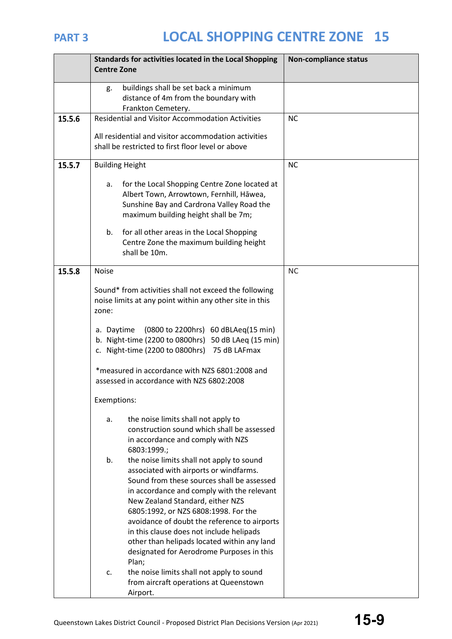|        | Standards for activities located in the Local Shopping<br><b>Centre Zone</b>                                                                                                                                                                                                                                                                                                                                                                                       | <b>Non-compliance status</b> |
|--------|--------------------------------------------------------------------------------------------------------------------------------------------------------------------------------------------------------------------------------------------------------------------------------------------------------------------------------------------------------------------------------------------------------------------------------------------------------------------|------------------------------|
|        | buildings shall be set back a minimum<br>g.<br>distance of 4m from the boundary with<br>Frankton Cemetery.                                                                                                                                                                                                                                                                                                                                                         |                              |
| 15.5.6 | <b>Residential and Visitor Accommodation Activities</b>                                                                                                                                                                                                                                                                                                                                                                                                            | <b>NC</b>                    |
|        | All residential and visitor accommodation activities<br>shall be restricted to first floor level or above                                                                                                                                                                                                                                                                                                                                                          |                              |
| 15.5.7 | <b>Building Height</b>                                                                                                                                                                                                                                                                                                                                                                                                                                             | <b>NC</b>                    |
|        | for the Local Shopping Centre Zone located at<br>а.<br>Albert Town, Arrowtown, Fernhill, Hāwea,<br>Sunshine Bay and Cardrona Valley Road the<br>maximum building height shall be 7m;                                                                                                                                                                                                                                                                               |                              |
|        | for all other areas in the Local Shopping<br>b.<br>Centre Zone the maximum building height<br>shall be 10m.                                                                                                                                                                                                                                                                                                                                                        |                              |
| 15.5.8 | <b>Noise</b>                                                                                                                                                                                                                                                                                                                                                                                                                                                       | <b>NC</b>                    |
|        | Sound* from activities shall not exceed the following<br>noise limits at any point within any other site in this<br>zone:                                                                                                                                                                                                                                                                                                                                          |                              |
|        | (0800 to 2200hrs) 60 dBLAeq(15 min)<br>a. Daytime<br>b. Night-time (2200 to 0800hrs) 50 dB LAeq (15 min)<br>c. Night-time (2200 to 0800hrs) 75 dB LAFmax                                                                                                                                                                                                                                                                                                           |                              |
|        | *measured in accordance with NZS 6801:2008 and<br>assessed in accordance with NZS 6802:2008                                                                                                                                                                                                                                                                                                                                                                        |                              |
|        | Exemptions:                                                                                                                                                                                                                                                                                                                                                                                                                                                        |                              |
|        | the noise limits shall not apply to<br>a.<br>construction sound which shall be assessed<br>in accordance and comply with NZS<br>6803:1999.;                                                                                                                                                                                                                                                                                                                        |                              |
|        | the noise limits shall not apply to sound<br>b.<br>associated with airports or windfarms.<br>Sound from these sources shall be assessed<br>in accordance and comply with the relevant<br>New Zealand Standard, either NZS<br>6805:1992, or NZS 6808:1998. For the<br>avoidance of doubt the reference to airports<br>in this clause does not include helipads<br>other than helipads located within any land<br>designated for Aerodrome Purposes in this<br>Plan; |                              |
|        | the noise limits shall not apply to sound<br>c.<br>from aircraft operations at Queenstown<br>Airport.                                                                                                                                                                                                                                                                                                                                                              |                              |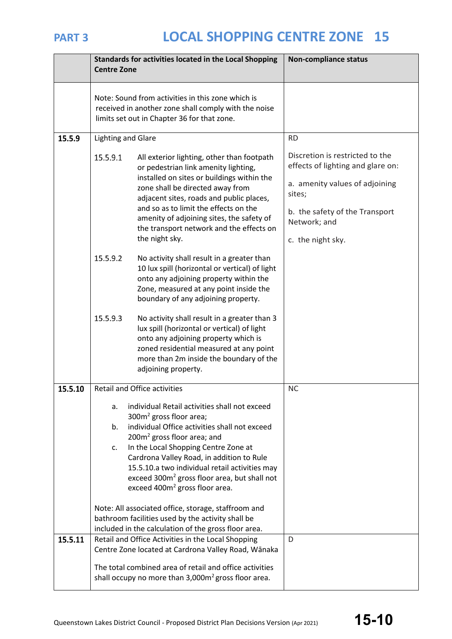|         | Standards for activities located in the Local Shopping<br><b>Centre Zone</b>                                                                                                                                                                                                                                                                                                                                                    | <b>Non-compliance status</b>                                                                                                                                                            |
|---------|---------------------------------------------------------------------------------------------------------------------------------------------------------------------------------------------------------------------------------------------------------------------------------------------------------------------------------------------------------------------------------------------------------------------------------|-----------------------------------------------------------------------------------------------------------------------------------------------------------------------------------------|
|         | Note: Sound from activities in this zone which is<br>received in another zone shall comply with the noise<br>limits set out in Chapter 36 for that zone.                                                                                                                                                                                                                                                                        |                                                                                                                                                                                         |
| 15.5.9  | <b>Lighting and Glare</b>                                                                                                                                                                                                                                                                                                                                                                                                       | <b>RD</b>                                                                                                                                                                               |
|         | 15.5.9.1<br>All exterior lighting, other than footpath<br>or pedestrian link amenity lighting,<br>installed on sites or buildings within the<br>zone shall be directed away from<br>adjacent sites, roads and public places,<br>and so as to limit the effects on the<br>amenity of adjoining sites, the safety of<br>the transport network and the effects on<br>the night sky.                                                | Discretion is restricted to the<br>effects of lighting and glare on:<br>a. amenity values of adjoining<br>sites;<br>b. the safety of the Transport<br>Network; and<br>c. the night sky. |
|         | 15.5.9.2<br>No activity shall result in a greater than<br>10 lux spill (horizontal or vertical) of light<br>onto any adjoining property within the<br>Zone, measured at any point inside the<br>boundary of any adjoining property.                                                                                                                                                                                             |                                                                                                                                                                                         |
|         | 15.5.9.3<br>No activity shall result in a greater than 3<br>lux spill (horizontal or vertical) of light<br>onto any adjoining property which is<br>zoned residential measured at any point<br>more than 2m inside the boundary of the<br>adjoining property.                                                                                                                                                                    |                                                                                                                                                                                         |
| 15.5.10 | <b>Retail and Office activities</b>                                                                                                                                                                                                                                                                                                                                                                                             | <b>NC</b>                                                                                                                                                                               |
|         | individual Retail activities shall not exceed<br>a.<br>$300m2$ gross floor area;<br>individual Office activities shall not exceed<br>b.<br>$200m2$ gross floor area; and<br>In the Local Shopping Centre Zone at<br>c.<br>Cardrona Valley Road, in addition to Rule<br>15.5.10.a two individual retail activities may<br>exceed 300m <sup>2</sup> gross floor area, but shall not<br>exceed 400m <sup>2</sup> gross floor area. |                                                                                                                                                                                         |
|         | Note: All associated office, storage, staffroom and<br>bathroom facilities used by the activity shall be<br>included in the calculation of the gross floor area.                                                                                                                                                                                                                                                                |                                                                                                                                                                                         |
| 15.5.11 | Retail and Office Activities in the Local Shopping<br>Centre Zone located at Cardrona Valley Road, Wānaka                                                                                                                                                                                                                                                                                                                       | D                                                                                                                                                                                       |
|         | The total combined area of retail and office activities<br>shall occupy no more than 3,000m <sup>2</sup> gross floor area.                                                                                                                                                                                                                                                                                                      |                                                                                                                                                                                         |